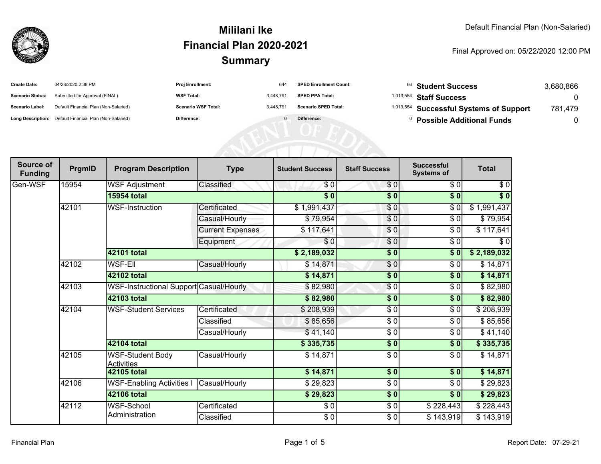

| <b>Create Date:</b>     | 04/28/2020 2:38 PM                                      | <b>Proj Enrollment:</b>    |           | <b>SPED Enrollment Count:</b> | <sup>66</sup> Student Success                      | 3,680,866 |
|-------------------------|---------------------------------------------------------|----------------------------|-----------|-------------------------------|----------------------------------------------------|-----------|
| <b>Scenario Status:</b> | Submitted for Approval (FINAL)                          | <b>WSF Total:</b>          | 3.448.791 | <b>SPED PPA Total:</b>        | $1,013,554$ Staff Success                          |           |
| <b>Scenario Label:</b>  | Default Financial Plan (Non-Salaried)                   | <b>Scenario WSF Total:</b> | 3.448.791 | <b>Scenario SPED Total:</b>   | <sup>1,013,554</sup> Successful Systems of Support | 781,479   |
|                         | Long Description: Default Financial Plan (Non-Salaried) | <b>Difference:</b>         |           | Difference:                   | <b>Possible Additional Funds</b>                   |           |

| Source of<br><b>Funding</b> | PrgmID | <b>Program Description</b>                   | <b>Type</b>             | <b>Student Success</b> | <b>Staff Success</b> | <b>Successful</b><br><b>Systems of</b> | <b>Total</b> |
|-----------------------------|--------|----------------------------------------------|-------------------------|------------------------|----------------------|----------------------------------------|--------------|
| Gen-WSF                     | 15954  | <b>WSF Adjustment</b>                        | Classified              | \$0                    | \$0                  | \$0                                    | \$0          |
|                             |        | <b>15954 total</b>                           |                         | $\overline{\$0}$       | $\overline{\$0}$     | $\sqrt{6}$                             | $\sqrt$0$    |
|                             | 42101  | <b>WSF-Instruction</b>                       | Certificated            | \$1,991,437            | \$0                  | \$0                                    | \$1,991,437  |
|                             |        |                                              | Casual/Hourly           | \$79,954               | \$0                  | \$0                                    | \$79,954     |
|                             |        |                                              | <b>Current Expenses</b> | \$117,641              | \$0                  | \$0                                    | \$117,641    |
|                             |        |                                              | Equipment               | \$0                    | $\frac{6}{6}$        | $\sqrt{6}$                             | $\sqrt{6}$   |
|                             |        | 42101 total                                  |                         | \$2,189,032            | $\frac{6}{6}$        | \$0                                    | \$2,189,032  |
|                             | 42102  | <b>WSF-Ell</b>                               | Casual/Hourly           | \$14,871               | $\frac{6}{6}$        | \$0                                    | \$14,871     |
|                             |        | 42102 total                                  |                         | \$14,871               | \$0                  | \$0                                    | \$14,871     |
|                             | 42103  | WSF-Instructional Support Casual/Hourly      |                         | \$82,980               | \$0                  | \$0                                    | \$82,980     |
|                             |        | 42103 total                                  |                         | \$82,980               | $\sqrt{6}$           | \$0                                    | \$82,980     |
|                             | 42104  | <b>WSF-Student Services</b>                  | Certificated            | \$208,939              | \$0                  | \$0                                    | \$208,939    |
|                             |        |                                              | Classified              | \$85,656               | \$ 0                 | \$0                                    | \$85,656     |
|                             |        |                                              | Casual/Hourly           | \$41,140               | \$0                  | \$0                                    | \$41,140     |
|                             |        | 42104 total                                  |                         | \$335,735              | \$0                  | \$0                                    | \$335,735    |
|                             | 42105  | <b>WSF-Student Body</b><br><b>Activities</b> | Casual/Hourly           | \$14,871               | \$0                  | \$0                                    | \$14,871     |
|                             |        | 42105 total                                  |                         | \$14,871               | \$0                  | \$0                                    | \$14,871     |
|                             | 42106  | <b>WSF-Enabling Activities I</b>             | Casual/Hourly           | \$29,823               | \$0                  | \$0                                    | \$29,823     |
|                             |        | 42106 total                                  |                         | \$29,823               | $\overline{\$0}$     | \$0                                    | \$29,823     |
|                             | 42112  | <b>WSF-School</b>                            | Certificated            | $\frac{1}{6}$          | $\frac{1}{6}$        | \$228,443                              | \$228,443    |
|                             |        | Administration                               | Classified              | $\frac{6}{6}$          | $\frac{6}{9}$        | \$143,919                              | \$143,919    |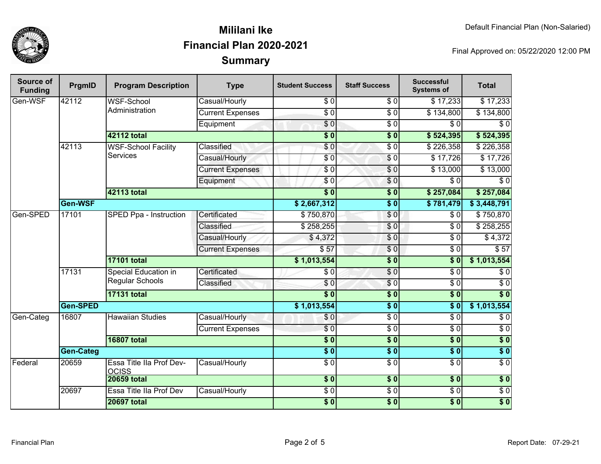

| <b>Source of</b><br><b>Funding</b> | PrgmID                                                  | <b>Program Description</b>               | <b>Type</b>             | <b>Student Success</b>  | <b>Staff Success</b> | <b>Successful</b><br><b>Systems of</b> | <b>Total</b>     |
|------------------------------------|---------------------------------------------------------|------------------------------------------|-------------------------|-------------------------|----------------------|----------------------------------------|------------------|
| Gen-WSF                            | 42112                                                   | <b>WSF-School</b>                        | Casual/Hourly           | \$0                     | $\overline{\$0}$     | \$17,233                               | $\sqrt{$17,233}$ |
|                                    |                                                         | Administration                           | <b>Current Expenses</b> | $\overline{\$0}$        | $\overline{\$0}$     | $\overline{$}134,800$                  | \$134,800        |
|                                    |                                                         |                                          | Equipment               | $\overline{\$0}$        | $\sqrt{6}$           | $\sqrt{6}$                             | $\overline{\$0}$ |
|                                    |                                                         | <b>42112 total</b>                       |                         | $\overline{\$0}$        | $\overline{\$0}$     | \$524,395                              | \$524,395        |
|                                    | 42113                                                   | <b>WSF-School Facility</b>               | <b>Classified</b>       | $\overline{\$0}$        | $\overline{\$0}$     | \$226,358                              | \$226,358        |
|                                    |                                                         | <b>Services</b>                          | Casual/Hourly           | \$0                     | $\sqrt{6}$           | $\overline{$17,726}$                   | \$17,726         |
|                                    |                                                         |                                          | <b>Current Expenses</b> | $\sqrt{6}$              | $\sqrt{6}$           | \$13,000                               | \$13,000         |
|                                    |                                                         |                                          | Equipment               | \$0                     | $\sqrt{6}$           | $\overline{\$0}$                       | $\overline{\$0}$ |
|                                    |                                                         | <b>42113 total</b>                       |                         | s <sub>0</sub>          | $\overline{\$0}$     | \$257,084                              | \$257,084        |
|                                    | Gen-WSF                                                 |                                          |                         | \$2,667,312             | $\overline{\$0}$     | \$781,479                              | \$3,448,791      |
| Gen-SPED                           | 17101                                                   | SPED Ppa - Instruction                   | Certificated            | \$750,870               | \$0                  | \$0                                    | \$750,870        |
|                                    |                                                         |                                          | Classified              | \$258,255               | \$0                  | $\overline{\$0}$                       | \$258,255        |
|                                    |                                                         |                                          | Casual/Hourly           | \$4,372                 | \$0                  | $\overline{\$0}$                       | \$4,372          |
|                                    |                                                         |                                          | <b>Current Expenses</b> | \$57                    | $\overline{0}$       | $\overline{\$0}$                       | $\overline{$}57$ |
|                                    |                                                         | <b>17101 total</b>                       |                         | \$1,013,554             | $\overline{\$0}$     | $\overline{\$0}$                       | \$1,013,554      |
|                                    | 17131<br>Special Education in<br><b>Regular Schools</b> | Certificated                             | \$0                     | $\sqrt{6}$              | $\sqrt{6}$           | \$0                                    |                  |
|                                    |                                                         | Classified                               | \$0                     | \$0                     | $\overline{\$0}$     | $\overline{\$0}$                       |                  |
|                                    |                                                         | <b>17131 total</b>                       |                         | $\overline{\bullet}$ 0  | $\overline{\$0}$     | $\overline{\$0}$                       | $\overline{\$0}$ |
|                                    | Gen-SPED                                                |                                          |                         | \$1,013,554             | $\overline{\$0}$     | $\overline{\$0}$                       | \$1,013,554      |
| Gen-Categ                          | 16807                                                   | <b>Hawaiian Studies</b>                  | Casual/Hourly           | \$0                     | $\overline{\$0}$     | $\overline{\$0}$                       | $\overline{\$0}$ |
|                                    |                                                         |                                          |                         | <b>Current Expenses</b> | $\overline{\$0}$     | $\sqrt{6}$                             | $\overline{\$0}$ |
|                                    |                                                         | <b>16807 total</b>                       |                         | $\overline{\$0}$        | $\overline{\$0}$     | $\overline{\$0}$                       | $\overline{\$0}$ |
|                                    | <b>Gen-Categ</b>                                        |                                          | $\overline{\$0}$        | $\overline{\$0}$        | $\overline{\$0}$     | $\overline{\$}0$                       |                  |
| Federal                            | 20659                                                   | Essa Title IIa Prof Dev-<br><b>OCISS</b> | Casual/Hourly           | $\overline{\$0}$        | $\overline{S}0$      | $\overline{\$0}$                       | $\overline{\$0}$ |
|                                    |                                                         | <b>20659 total</b>                       |                         | $\sqrt{6}$              | \$0                  | \$0                                    | $\overline{\$}0$ |
|                                    | 20697                                                   | Essa Title IIa Prof Dev                  | Casual/Hourly           | $\overline{\$0}$        | $\overline{\$0}$     | $\overline{\$0}$                       | $\overline{\$0}$ |
|                                    |                                                         | <b>20697 total</b>                       |                         | $\overline{\$0}$        | $\overline{\$0}$     | $\sqrt{6}$                             | $\overline{\$}0$ |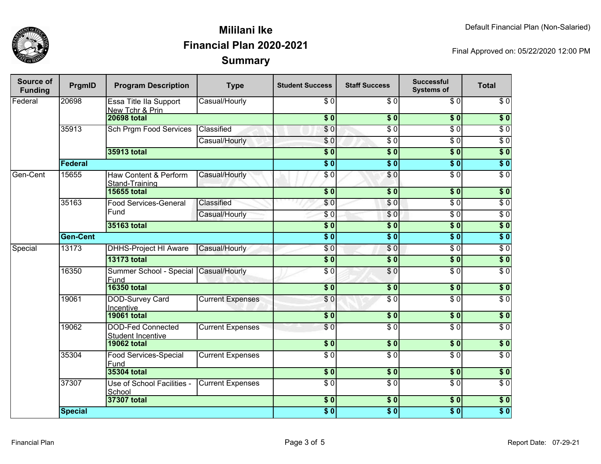

| <b>Source of</b><br><b>Funding</b> | PrgmID          | <b>Program Description</b>                           | <b>Type</b>             | <b>Student Success</b> | <b>Staff Success</b>       | <b>Successful</b><br><b>Systems of</b> | <b>Total</b>     |
|------------------------------------|-----------------|------------------------------------------------------|-------------------------|------------------------|----------------------------|----------------------------------------|------------------|
| Federal                            | 20698           | Essa Title IIa Support<br>New Tchr & Prin            | Casual/Hourly           | $\sqrt{6}$             | $\overline{\frac{1}{6}}$   | $\overline{30}$                        | $\sqrt{6}$       |
|                                    |                 | <b>20698 total</b>                                   |                         | s <sub>0</sub>         | $\overline{\$0}$           | \$0                                    | $\overline{\$0}$ |
|                                    | 35913           | <b>Sch Prgm Food Services</b>                        | Classified              | \$0                    | \$ 0                       | $\overline{\$0}$                       | $\overline{\$0}$ |
|                                    |                 |                                                      | Casual/Hourly           | \$0                    | $\overline{\$0}$           | $\overline{\$0}$                       | $\overline{\$0}$ |
|                                    |                 | 35913 total                                          |                         | $\overline{\$0}$       | $\overline{\$0}$           | s <sub>0</sub>                         | $\overline{\$0}$ |
|                                    | Federal         |                                                      |                         |                        | $\overline{\$0}$           | s <sub>0</sub>                         | $\overline{\$0}$ |
| Gen-Cent                           | 15655           | Haw Content & Perform<br>Stand-Training              | Casual/Hourly           | $\overline{\$0}$       | \$0                        | $\overline{\$0}$                       | $\overline{\$0}$ |
|                                    |                 | <b>15655 total</b>                                   |                         | $\overline{\$0}$       | $\sqrt{6}$                 | \$0                                    | \$0              |
|                                    | 35163           | <b>Food Services-General</b>                         | Classified              | \$0                    | \$0                        | $\sqrt{6}$                             | $\sqrt{6}$       |
|                                    |                 | Fund                                                 | Casual/Hourly           | \$0                    | \$0                        | $\overline{S}0$                        | $\sqrt{6}$       |
|                                    |                 | 35163 total                                          |                         | $\overline{\$0}$       | $\overline{\$0}$           | \$0                                    | $\overline{\$0}$ |
|                                    | <b>Gen-Cent</b> |                                                      |                         | $\overline{\bullet}$ 0 | $\overline{\$0}$           | $\sqrt{6}$                             | $\overline{\$0}$ |
| Special                            | 13173           | <b>DHHS-Project HI Aware</b>                         | Casual/Hourly           | \$0                    | \$0                        | $\sqrt{6}$                             | $\sqrt{6}$       |
|                                    |                 | <b>13173 total</b>                                   |                         | $\overline{\$0}$       | $\overline{\$0}$           | 50                                     | \$0              |
|                                    | 16350           | Summer School - Special Casual/Hourly<br>Fund        |                         | $\overline{\$0}$       | $\overline{60}$            | $\sqrt{6}$                             | $\sqrt{6}$       |
|                                    |                 | <b>16350 total</b>                                   |                         | $\overline{\$0}$       | $\sqrt{6}$                 | $\overline{\$0}$                       | $\overline{\$0}$ |
|                                    | 19061           | DOD-Survey Card<br>Incentive                         | <b>Current Expenses</b> | \$0                    | $\overline{\$0}$           | $\overline{\$0}$                       | $\overline{S}0$  |
|                                    |                 | <b>19061 total</b>                                   |                         | $\overline{\$0}$       | $\overline{\phantom{0}30}$ | s <sub>0</sub>                         | $\overline{\$0}$ |
|                                    | 19062           | <b>DOD-Fed Connected</b><br><b>Student Incentive</b> | <b>Current Expenses</b> | \$0                    | $\sqrt{6}$                 | $\overline{\$0}$                       | $\overline{\$0}$ |
|                                    |                 | <b>19062 total</b>                                   |                         | $\overline{\bullet}$   | \$0                        | \$0                                    | \$0              |
|                                    | 35304           | <b>Food Services-Special</b><br>Fund                 | <b>Current Expenses</b> | $\overline{\$0}$       | $\overline{\$0}$           | $\sqrt{6}$                             | $\overline{S}0$  |
|                                    |                 | <b>35304 total</b>                                   |                         | $\sqrt{6}$             | $\overline{\$0}$           | $\overline{\$0}$                       | $\overline{\$0}$ |
|                                    | 37307           | Use of School Facilities -<br>School                 | <b>Current Expenses</b> | $\overline{\$0}$       | $\overline{S}0$            | $\overline{\$0}$                       | $\overline{\$0}$ |
|                                    |                 | 37307 total                                          |                         | $\overline{\$0}$       | $\sqrt{6}$                 | $\overline{\$0}$                       | $\overline{\$0}$ |
|                                    | <b>Special</b>  |                                                      |                         | $\overline{\$0}$       | $\overline{\$0}$           | $\overline{\$0}$                       | $\overline{\$0}$ |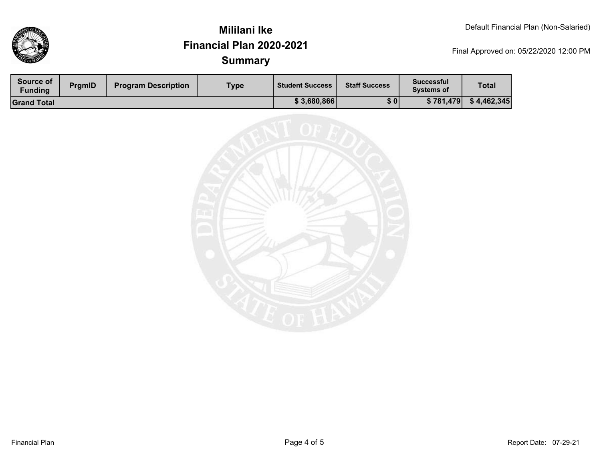

| Source of<br>Funding | <b>PrgmID</b> | <b>Program Description</b> | Type | <b>Student Success</b> | <b>Staff Success</b> | <b>Successful</b><br><b>Systems of</b> | <b>Total</b> |
|----------------------|---------------|----------------------------|------|------------------------|----------------------|----------------------------------------|--------------|
| <b>Grand Total</b>   |               |                            |      | \$3,680,866            | \$0                  | \$781,479                              | \$4,462,345  |